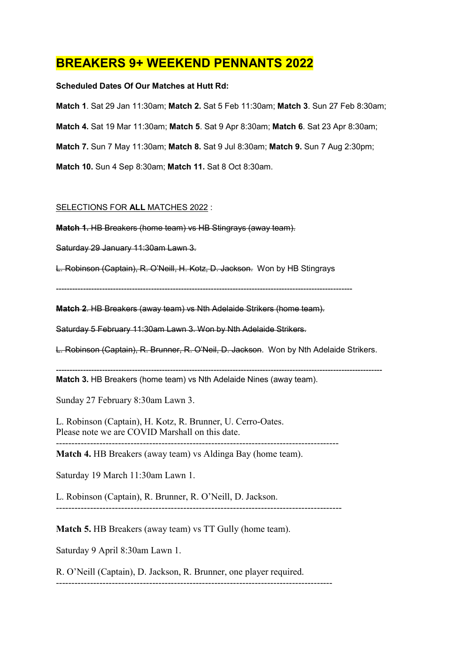## BREAKERS 9+ WEEKEND PENNANTS 2022

## Scheduled Dates Of Our Matches at Hutt Rd:

Match 1. Sat 29 Jan 11:30am; Match 2. Sat 5 Feb 11:30am; Match 3. Sun 27 Feb 8:30am;

Match 4. Sat 19 Mar 11:30am; Match 5. Sat 9 Apr 8:30am; Match 6. Sat 23 Apr 8:30am;

Match 7. Sun 7 May 11:30am; Match 8. Sat 9 Jul 8:30am; Match 9. Sun 7 Aug 2:30pm;

Match 10. Sun 4 Sep 8:30am; Match 11. Sat 8 Oct 8:30am.

## SELECTIONS FOR ALL MATCHES 2022 :

Match 1. HB Breakers (home team) vs HB Stingrays (away team).

Saturday 29 January 11:30am Lawn 3.

L. Robinson (Captain), R. O'Neill, H. Kotz, D. Jackson. Won by HB Stingrays

-------------------------------------------------------------------------------------------------------------

Match 2. HB Breakers (away team) vs Nth Adelaide Strikers (home team).

Saturday 5 February 11:30am Lawn 3. Won by Nth Adelaide Strikers.

L. Robinson (Captain), R. Brunner, R. O'Neil, D. Jackson. Won by Nth Adelaide Strikers.

------------------------------------------------------------------------------------------------------------------------ Match 3. HB Breakers (home team) vs Nth Adelaide Nines (away team).

Sunday 27 February 8:30am Lawn 3.

L. Robinson (Captain), H. Kotz, R. Brunner, U. Cerro-Oates. Please note we are COVID Marshall on this date.

-------------------------------------------------------------------------------------------

Match 4. HB Breakers (away team) vs Aldinga Bay (home team).

Saturday 19 March 11:30am Lawn 1.

L. Robinson (Captain), R. Brunner, R. O'Neill, D. Jackson. --------------------------------------------------------------------------------------------

Match 5. HB Breakers (away team) vs TT Gully (home team).

Saturday 9 April 8:30am Lawn 1.

R. O'Neill (Captain), D. Jackson, R. Brunner, one player required. -----------------------------------------------------------------------------------------